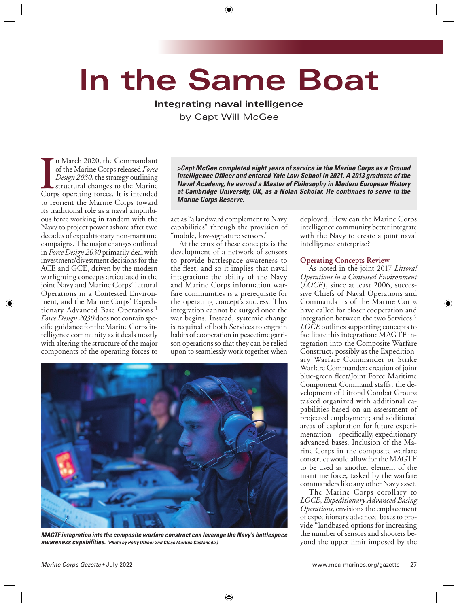# **In the Same Boat**

# **Integrating naval intelligence**

by Capt Will McGee

In March 2020, the Commandant of the Marine Corps released *Force Design 2030*, the strategy outlining structural changes to the Marine Corps operating forces. It is intended n March 2020, the Commandant of the Marine Corps released *Force Design 2030*, the strategy outlining structural changes to the Marine to reorient the Marine Corps toward its traditional role as a naval amphibious force working in tandem with the Navy to project power ashore after two decades of expeditionary non-maritime campaigns. The major changes outlined in *Force Design 2030* primarily deal with investment/divestment decisions for the ACE and GCE, driven by the modern warfighting concepts articulated in the joint Navy and Marine Corps' Littoral Operations in a Contested Environment, and the Marine Corps' Expeditionary Advanced Base Operations.1 *Force Design 2030* does not contain specific guidance for the Marine Corps intelligence community as it deals mostly with altering the structure of the major components of the operating forces to

*>Capt McGee completed eight years of service in the Marine Corps as a Ground Intelligence Officer and entered Yale Law School in 2021. A 2013 graduate of the Naval Academy, he earned a Master of Philosophy in Modern European History at Cambridge University, UK, as a Nolan Scholar. He continues to serve in the Marine Corps Reserve.*

act as "a landward complement to Navy capabilities" through the provision of "mobile, low-signature sensors."

At the crux of these concepts is the development of a network of sensors to provide battlespace awareness to the fleet, and so it implies that naval integration: the ability of the Navy and Marine Corps information warfare communities is a prerequisite for the operating concept's success. This integration cannot be surged once the war begins. Instead, systemic change is required of both Services to engrain habits of cooperation in peacetime garrison operations so that they can be relied upon to seamlessly work together when



*MAGTF integration into the composite warfare construct can leverage the Navy's battlespace awareness capabilities. (Photo by Petty Officer 2nd Class Markus Castaneda.)*

deployed. How can the Marine Corps intelligence community better integrate with the Navy to create a joint naval intelligence enterprise?

## **Operating Concepts Review**

As noted in the joint 2017 *Littoral Operations in a Contested Environment* (*LOCE*), since at least 2006, successive Chiefs of Naval Operations and Commandants of the Marine Corps have called for closer cooperation and integration between the two Services.2 *LOCE* outlines supporting concepts to facilitate this integration: MAGTF integration into the Composite Warfare Construct, possibly as the Expeditionary Warfare Commander or Strike Warfare Commander; creation of joint blue-green fleet/Joint Force Maritime Component Command staffs; the development of Littoral Combat Groups tasked organized with additional capabilities based on an assessment of projected employment; and additional areas of exploration for future experimentation—specifically, expeditionary advanced bases. Inclusion of the Marine Corps in the composite warfare construct would allow for the MAGTF to be used as another element of the maritime force, tasked by the warfare commanders like any other Navy asset.

The Marine Corps corollary to *LOCE*, *Expeditionary Advanced Basing Operations*, envisions the emplacement of expeditionary advanced bases to provide "landbased options for increasing the number of sensors and shooters beyond the upper limit imposed by the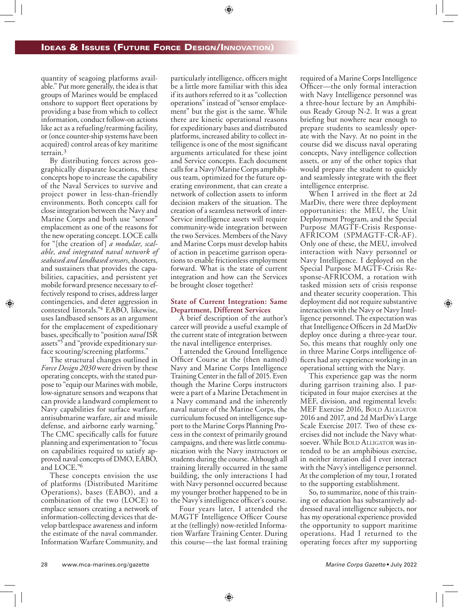quantity of seagoing platforms available." Put more generally, the idea is that groups of Marines would be emplaced onshore to support fleet operations by providing a base from which to collect information, conduct follow-on actions like act as a refueling/rearming facility, or (once counter-ship systems have been acquired) control areas of key maritime terrain.3

By distributing forces across geographically disparate locations, these concepts hope to increase the capability of the Naval Services to survive and project power in less-than-friendly environments. Both concepts call for close integration between the Navy and Marine Corps and both use "sensor" emplacement as one of the reasons for the new operating concept. LOCE calls for "[the creation of] *a modular, scalable, and integrated naval network of seabased and landbased sensors*, shooters, and sustainers that provides the capabilities, capacities, and persistent yet mobile forward presence necessary to effectively respond to crises, address larger contingencies, and deter aggression in contested littorals."4 EABO, likewise, uses landbased sensors as an argument for the emplacement of expeditionary bases, specifically to "position *naval* ISR assets"5 and "provide expeditionary surface scouting/screening platforms."

The structural changes outlined in *Force Design 2030* were driven by these operating concepts, with the stated purpose to "equip our Marines with mobile, low-signature sensors and weapons that can provide a landward complement to Navy capabilities for surface warfare, antisubmarine warfare, air and missile defense, and airborne early warning." The CMC specifically calls for future planning and experimentation to "focus on capabilities required to satisfy approved naval concepts of DMO, EABO, and LOCE."6

These concepts envision the use of platforms (Distributed Maritime Operations), bases (EABO), and a combination of the two (LOCE) to emplace sensors creating a network of information-collecting devices that develop battlespace awareness and inform the estimate of the naval commander. Information Warfare Community, and

particularly intelligence, officers might be a little more familiar with this idea if its authors referred to it as "collection operations" instead of "sensor emplacement" but the gist is the same. While there are kinetic operational reasons for expeditionary bases and distributed platforms, increased ability to collect intelligence is one of the most significant arguments articulated for these joint and Service concepts. Each document calls for a Navy/Marine Corps amphibious team, optimized for the future operating environment, that can create a network of collection assets to inform decision makers of the situation. The creation of a seamless network of inter-Service intelligence assets will require community-wide integration between the two Services. Members of the Navy and Marine Corps must develop habits of action in peacetime garrison operations to enable frictionless employment forward. What is the state of current integration and how can the Services be brought closer together?

### **State of Current Integration: Same Department, Different Services**

A brief description of the author's career will provide a useful example of the current state of integration between the naval intelligence enterprises.

I attended the Ground Intelligence Officer Course at the (then named) Navy and Marine Corps Intelligence Training Center in the fall of 2015. Even though the Marine Corps instructors were a part of a Marine Detachment in a Navy command and the inherently naval nature of the Marine Corps, the curriculum focused on intelligence support to the Marine Corps Planning Process in the context of primarily ground campaigns, and there was little communication with the Navy instructors or students during the course. Although all training literally occurred in the same building, the only interactions I had with Navy personnel occurred because my younger brother happened to be in the Navy's intelligence officer's course.

Four years later, I attended the MAGTF Intelligence Officer Course at the (tellingly) now-retitled Information Warfare Training Center. During this course—the last formal training required of a Marine Corps Intelligence Officer—the only formal interaction with Navy Intelligence personnel was a three-hour lecture by an Amphibious Ready Group N-2. It was a great briefing but nowhere near enough to prepare students to seamlessly operate with the Navy. At no point in the course did we discuss naval operating concepts, Navy intelligence collection assets, or any of the other topics that would prepare the student to quickly and seamlessly integrate with the fleet intelligence enterprise.

When I arrived in the fleet at 2d MarDiv, there were three deployment opportunities: the MEU, the Unit Deployment Program, and the Special Purpose MAGTF-Crisis Response-AFRICOM (SPMAGTF-CR-AF). Only one of these, the MEU, involved interaction with Navy personnel or Navy Intelligence. I deployed on the Special Purpose MAGTF-Crisis Response-AFRICOM, a rotation with tasked mission sets of crisis response and theater security cooperation. This deployment did not require substantive interaction with the Navy or Navy Intelligence personnel. The expectation was that Intelligence Officers in 2d MarDiv deploy once during a three-year tour. So, this means that roughly only one in three Marine Corps intelligence officers had any experience working in an operational setting with the Navy.

This experience gap was the norm during garrison training also. I participated in four major exercises at the MEF, division, and regimental levels: MEF Exercise 2016, BOLD ALLIGATOR 2016 and 2017, and 2d MarDiv's Large Scale Exercise 2017. Two of these exercises did not include the Navy whatsoever. While BOLD ALLIGATOR was intended to be an amphibious exercise, in neither iteration did I ever interact with the Navy's intelligence personnel. At the completion of my tour, I rotated to the supporting establishment.

So, to summarize, none of this training or education has substantively addressed naval intelligence subjects, nor has my operational experience provided the opportunity to support maritime operations. Had I returned to the operating forces after my supporting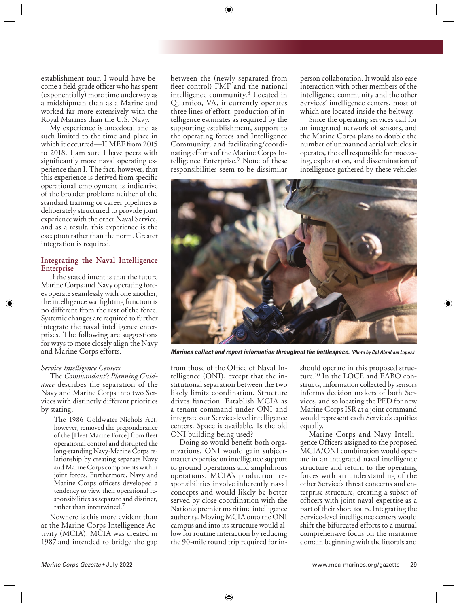establishment tour, I would have become a field-grade officer who has spent (exponentially) more time underway as a midshipman than as a Marine and worked far more extensively with the Royal Marines than the U.S. Navy.

My experience is anecdotal and as such limited to the time and place in which it occurred—II MEF from 2015 to 2018. I am sure I have peers with significantly more naval operating experience than I. The fact, however, that this experience is derived from specific operational employment is indicative of the broader problem: neither of the standard training or career pipelines is deliberately structured to provide joint experience with the other Naval Service, and as a result, this experience is the exception rather than the norm. Greater integration is required.

### **Integrating the Naval Intelligence Enterprise**

If the stated intent is that the future Marine Corps and Navy operating forces operate seamlessly with one another, the intelligence warfighting function is no different from the rest of the force. Systemic changes are required to further integrate the naval intelligence enterprises. The following are suggestions for ways to more closely align the Navy and Marine Corps efforts.

### *Service Intelligence Centers*

The *Commandant's Planning Guidance* describes the separation of the Navy and Marine Corps into two Services with distinctly different priorities by stating,

> The 1986 Goldwater-Nichols Act, however, removed the preponderance of the [Fleet Marine Force] from fleet operational control and disrupted the long-standing Navy-Marine Corps relationship by creating separate Navy and Marine Corps components within joint forces. Furthermore, Navy and Marine Corps officers developed a tendency to view their operational responsibilities as separate and distinct, rather than intertwined.<sup>7</sup>

Nowhere is this more evident than at the Marine Corps Intelligence Activity (MCIA). MCIA was created in 1987 and intended to bridge the gap between the (newly separated from fleet control) FMF and the national intelligence community.8 Located in Quantico, VA, it currently operates three lines of effort: production of intelligence estimates as required by the supporting establishment, support to the operating forces and Intelligence Community, and facilitating/coordinating efforts of the Marine Corps Intelligence Enterprise.<sup>9</sup> None of these responsibilities seem to be dissimilar

person collaboration. It would also ease interaction with other members of the intelligence community and the other Services' intelligence centers, most of which are located inside the beltway.

Since the operating services call for an integrated network of sensors, and the Marine Corps plans to double the number of unmanned aerial vehicles it operates, the cell responsible for processing, exploitation, and dissemination of intelligence gathered by these vehicles



*Marines collect and report information throughout the battlespace. (Photo by Cpl Abraham Lopez.)*

from those of the Office of Naval Intelligence (ONI), except that the institutional separation between the two likely limits coordination. Structure drives function. Establish MCIA as a tenant command under ONI and integrate our Service-level intelligence centers. Space is available. Is the old ONI building being used?

Doing so would benefit both organizations. ONI would gain subjectmatter expertise on intelligence support to ground operations and amphibious operations. MCIA's production responsibilities involve inherently naval concepts and would likely be better served by close coordination with the Nation's premier maritime intelligence authority. Moving MCIA onto the ONI campus and into its structure would allow for routine interaction by reducing the 90-mile round trip required for inshould operate in this proposed structure.10 In the LOCE and EABO constructs, information collected by sensors informs decision makers of both Services, and so locating the PED for new Marine Corps ISR at a joint command would represent each Service's equities equally.

Marine Corps and Navy Intelligence Officers assigned to the proposed MCIA/ONI combination would operate in an integrated naval intelligence structure and return to the operating forces with an understanding of the other Service's threat concerns and enterprise structure, creating a subset of officers with joint naval expertise as a part of their shore tours. Integrating the Service-level intelligence centers would shift the bifurcated efforts to a mutual comprehensive focus on the maritime domain beginning with the littorals and